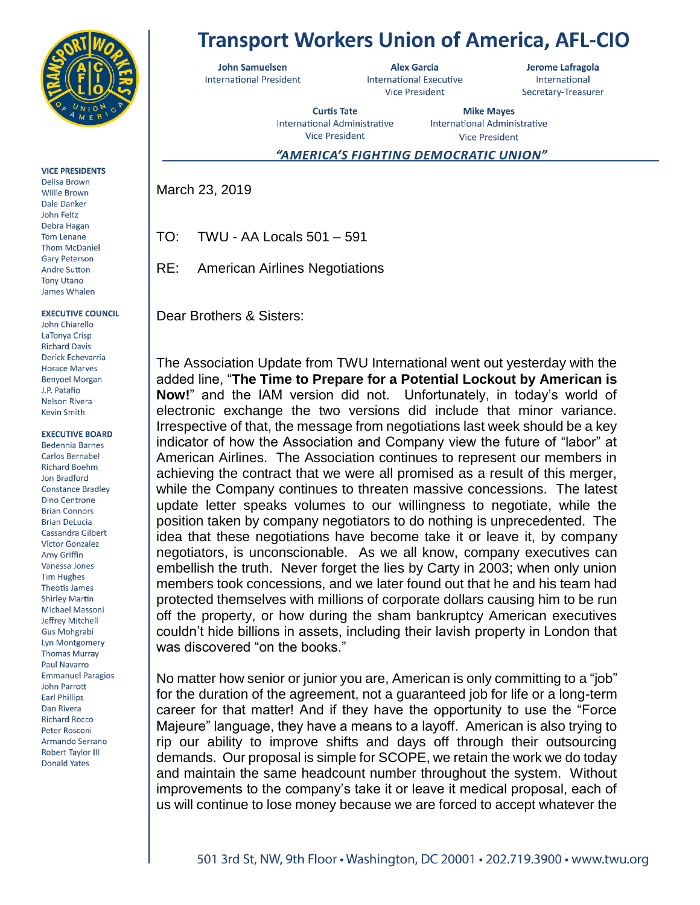

**VICE PRESIDENTS** 

Delisa Brown **Willie Brown** Dale Danker John Feltz Debra Hagan **Tom Lenane Thom McDaniel Gary Peterson Andre Sutton Tony Utano** James Whalen

**EXECUTIVE COUNCIL** 

John Chiarello LaTonya Crisp **Richard Davis** Derick Echevarria **Horace Marves Benyoel Morgan** J.P. Patafio **Nelson Rivera Kevin Smith** 

## **EXECUTIVE BOARD**

**Bedennia Barnes Carlos Bernabel Richard Boehm** Jon Bradford **Constance Bradley Dino Centrone Brian Connors Brian DeLucia Cassandra Gilbert Victor Gonzalez** Amy Griffin Vanessa Jones **Tim Hughes Theotis James Shirley Martin** Michael Massoni Jeffrey Mitchell Gus Mohgrabi Lyn Montgomery **Thomas Murray** Paul Navarro **Emmanuel Paragios** John Parrott **Earl Phillips** Dan Rivera **Richard Rocco** Peter Rosconi **Armando Serrano Robert Taylor III Donald Yates** 

## **Transport Workers Union of America, AFL-CIO**

**John Samuelsen International President** 

**Alex Garcia International Executive Vice President** 

Jerome Lafragola International Secretary-Treasurer

**Curtis Tate** International Administrative **Vice President** 

**Mike Mayes** International Administrative **Vice President** 

## "AMERICA'S FIGHTING DEMOCRATIC UNION"

March 23, 2019

TO: TWU - AA Locals 501 – 591

RE: American Airlines Negotiations

Dear Brothers & Sisters:

The Association Update from TWU International went out yesterday with the added line, "**The Time to Prepare for a Potential Lockout by American is Now!**" and the IAM version did not. Unfortunately, in today's world of electronic exchange the two versions did include that minor variance. Irrespective of that, the message from negotiations last week should be a key indicator of how the Association and Company view the future of "labor" at American Airlines. The Association continues to represent our members in achieving the contract that we were all promised as a result of this merger, while the Company continues to threaten massive concessions. The latest update letter speaks volumes to our willingness to negotiate, while the position taken by company negotiators to do nothing is unprecedented. The idea that these negotiations have become take it or leave it, by company negotiators, is unconscionable. As we all know, company executives can embellish the truth. Never forget the lies by Carty in 2003; when only union members took concessions, and we later found out that he and his team had protected themselves with millions of corporate dollars causing him to be run off the property, or how during the sham bankruptcy American executives couldn't hide billions in assets, including their lavish property in London that was discovered "on the books."

No matter how senior or junior you are, American is only committing to a "job" for the duration of the agreement, not a guaranteed job for life or a long-term career for that matter! And if they have the opportunity to use the "Force Majeure" language, they have a means to a layoff. American is also trying to rip our ability to improve shifts and days off through their outsourcing demands. Our proposal is simple for SCOPE, we retain the work we do today and maintain the same headcount number throughout the system. Without improvements to the company's take it or leave it medical proposal, each of us will continue to lose money because we are forced to accept whatever the